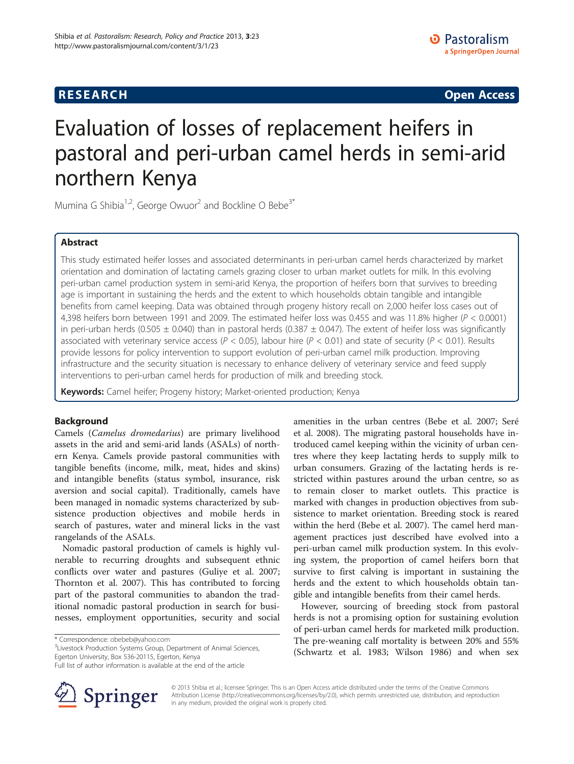## **RESEARCH CHINESE ARCH CHINESE ARCH CHINESE ARCH <b>CHINESE ARCH**

# Evaluation of losses of replacement heifers in pastoral and peri-urban camel herds in semi-arid northern Kenya

Mumina G Shibia<sup>1,2</sup>, George Owuor<sup>2</sup> and Bockline O Bebe<sup>3\*</sup>

## Abstract

This study estimated heifer losses and associated determinants in peri-urban camel herds characterized by market orientation and domination of lactating camels grazing closer to urban market outlets for milk. In this evolving peri-urban camel production system in semi-arid Kenya, the proportion of heifers born that survives to breeding age is important in sustaining the herds and the extent to which households obtain tangible and intangible benefits from camel keeping. Data was obtained through progeny history recall on 2,000 heifer loss cases out of 4,398 heifers born between 1991 and 2009. The estimated heifer loss was 0.455 and was 11.8% higher (P < 0.0001) in peri-urban herds (0.505  $\pm$  0.040) than in pastoral herds (0.387  $\pm$  0.047). The extent of heifer loss was significantly associated with veterinary service access ( $P < 0.05$ ), labour hire ( $P < 0.01$ ) and state of security ( $P < 0.01$ ). Results provide lessons for policy intervention to support evolution of peri-urban camel milk production. Improving infrastructure and the security situation is necessary to enhance delivery of veterinary service and feed supply interventions to peri-urban camel herds for production of milk and breeding stock.

Keywords: Camel heifer; Progeny history; Market-oriented production; Kenya

## Background

Camels (Camelus dromedarius) are primary livelihood assets in the arid and semi-arid lands (ASALs) of northern Kenya. Camels provide pastoral communities with tangible benefits (income, milk, meat, hides and skins) and intangible benefits (status symbol, insurance, risk aversion and social capital). Traditionally, camels have been managed in nomadic systems characterized by subsistence production objectives and mobile herds in search of pastures, water and mineral licks in the vast rangelands of the ASALs.

Nomadic pastoral production of camels is highly vulnerable to recurring droughts and subsequent ethnic conflicts over water and pastures (Guliye et al. [2007](#page-6-0); Thornton et al. [2007](#page-7-0)). This has contributed to forcing part of the pastoral communities to abandon the traditional nomadic pastoral production in search for businesses, employment opportunities, security and social

<sup>3</sup> Livestock Production Systems Group, Department of Animal Sciences, Egerton University, Box 536-20115, Egerton, Kenya Full list of author information is available at the end of the article

amenities in the urban centres (Bebe et al. [2007](#page-6-0); Seré et al. [2008](#page-7-0)). The migrating pastoral households have in-

However, sourcing of breeding stock from pastoral herds is not a promising option for sustaining evolution of peri-urban camel herds for marketed milk production. The pre-weaning calf mortality is between 20% and 55% (Schwartz et al. [1983](#page-7-0); Wilson [1986\)](#page-7-0) and when sex



© 2013 Shibia et al.; licensee Springer. This is an Open Access article distributed under the terms of the Creative Commons Attribution License [\(http://creativecommons.org/licenses/by/2.0\)](http://creativecommons.org/licenses/by/2.0), which permits unrestricted use, distribution, and reproduction in any medium, provided the original work is properly cited.

<sup>\*</sup> Correspondence: [obebeb@yahoo.com](mailto:obebeb@yahoo.com) <sup>3</sup>

troduced camel keeping within the vicinity of urban centres where they keep lactating herds to supply milk to urban consumers. Grazing of the lactating herds is restricted within pastures around the urban centre, so as to remain closer to market outlets. This practice is marked with changes in production objectives from subsistence to market orientation. Breeding stock is reared within the herd (Bebe et al. [2007](#page-6-0)). The camel herd management practices just described have evolved into a peri-urban camel milk production system. In this evolving system, the proportion of camel heifers born that survive to first calving is important in sustaining the herds and the extent to which households obtain tangible and intangible benefits from their camel herds.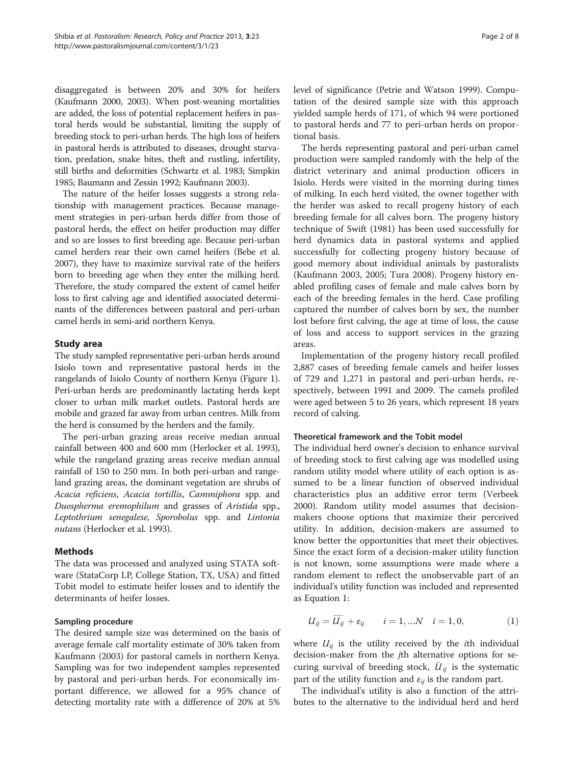disaggregated is between 20% and 30% for heifers (Kaufmann [2000](#page-6-0), [2003](#page-6-0)). When post-weaning mortalities are added, the loss of potential replacement heifers in pastoral herds would be substantial, limiting the supply of breeding stock to peri-urban herds. The high loss of heifers in pastoral herds is attributed to diseases, drought starvation, predation, snake bites, theft and rustling, infertility, still births and deformities (Schwartz et al. [1983;](#page-7-0) Simpkin [1985;](#page-7-0) Baumann and Zessin [1992;](#page-6-0) Kaufmann [2003\)](#page-6-0).

The nature of the heifer losses suggests a strong relationship with management practices. Because management strategies in peri-urban herds differ from those of pastoral herds, the effect on heifer production may differ and so are losses to first breeding age. Because peri-urban camel herders rear their own camel heifers (Bebe et al. [2007\)](#page-6-0), they have to maximize survival rate of the heifers born to breeding age when they enter the milking herd. Therefore, the study compared the extent of camel heifer loss to first calving age and identified associated determinants of the differences between pastoral and peri-urban camel herds in semi-arid northern Kenya.

## Study area

The study sampled representative peri-urban herds around Isiolo town and representative pastoral herds in the rangelands of Isiolo County of northern Kenya (Figure [1](#page-2-0)). Peri-urban herds are predominantly lactating herds kept closer to urban milk market outlets. Pastoral herds are mobile and grazed far away from urban centres. Milk from the herd is consumed by the herders and the family.

The peri-urban grazing areas receive median annual rainfall between 400 and 600 mm (Herlocker et al. [1993](#page-6-0)), while the rangeland grazing areas receive median annual rainfall of 150 to 250 mm. In both peri-urban and rangeland grazing areas, the dominant vegetation are shrubs of Acacia reficiens, Acacia tortillis, Cammiphora spp. and Duospherma eremophilum and grasses of Aristida spp., Leptothrium senegalese, Sporobolus spp. and Lintonia nutans (Herlocker et al. [1993](#page-6-0)).

## Methods

The data was processed and analyzed using STATA software (StataCorp LP, College Station, TX, USA) and fitted Tobit model to estimate heifer losses and to identify the determinants of heifer losses.

## Sampling procedure

The desired sample size was determined on the basis of average female calf mortality estimate of 30% taken from Kaufmann ([2003](#page-6-0)) for pastoral camels in northern Kenya. Sampling was for two independent samples represented by pastoral and peri-urban herds. For economically important difference, we allowed for a 95% chance of detecting mortality rate with a difference of 20% at 5% level of significance (Petrie and Watson [1999](#page-7-0)). Computation of the desired sample size with this approach yielded sample herds of 171, of which 94 were portioned to pastoral herds and 77 to peri-urban herds on proportional basis.

The herds representing pastoral and peri-urban camel production were sampled randomly with the help of the district veterinary and animal production officers in Isiolo. Herds were visited in the morning during times of milking. In each herd visited, the owner together with the herder was asked to recall progeny history of each breeding female for all calves born. The progeny history technique of Swift [\(1981\)](#page-7-0) has been used successfully for herd dynamics data in pastoral systems and applied successfully for collecting progeny history because of good memory about individual animals by pastoralists (Kaufmann [2003, 2005;](#page-6-0) Tura [2008\)](#page-7-0). Progeny history enabled profiling cases of female and male calves born by each of the breeding females in the herd. Case profiling captured the number of calves born by sex, the number lost before first calving, the age at time of loss, the cause of loss and access to support services in the grazing areas.

Implementation of the progeny history recall profiled 2,887 cases of breeding female camels and heifer losses of 729 and 1,271 in pastoral and peri-urban herds, respectively, between 1991 and 2009. The camels profiled were aged between 5 to 26 years, which represent 18 years record of calving.

## Theoretical framework and the Tobit model

The individual herd owner's decision to enhance survival of breeding stock to first calving age was modelled using random utility model where utility of each option is assumed to be a linear function of observed individual characteristics plus an additive error term (Verbeek [2000](#page-7-0)). Random utility model assumes that decisionmakers choose options that maximize their perceived utility. In addition, decision-makers are assumed to know better the opportunities that meet their objectives. Since the exact form of a decision-maker utility function is not known, some assumptions were made where a random element to reflect the unobservable part of an individual's utility function was included and represented as Equation 1:

$$
U_{ij} = \overline{U_{ij}} + \varepsilon_{ij} \qquad i = 1,...N \quad i = 1,0,
$$
 (1)

where  $U_{ij}$  is the utility received by the *i*th individual decision-maker from the jth alternative options for securing survival of breeding stock,  $\bar{U}_{ij}$  is the systematic part of the utility function and  $\varepsilon_{ii}$  is the random part.

The individual's utility is also a function of the attributes to the alternative to the individual herd and herd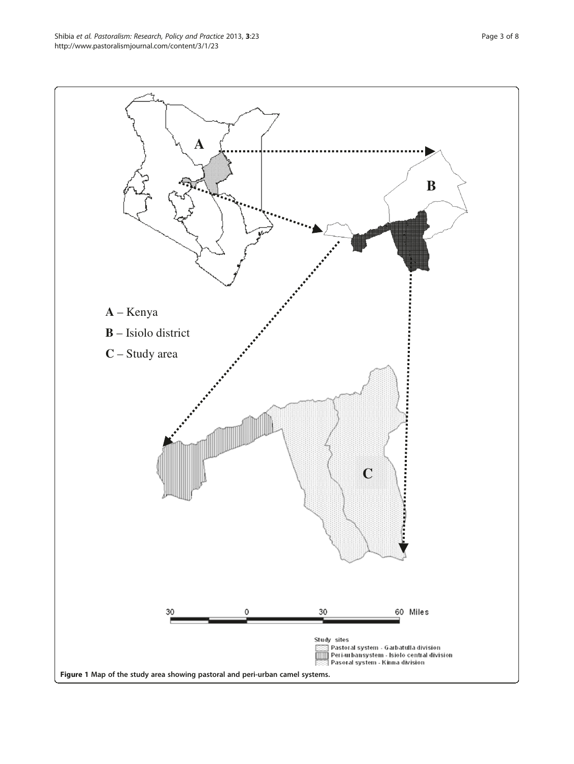<span id="page-2-0"></span>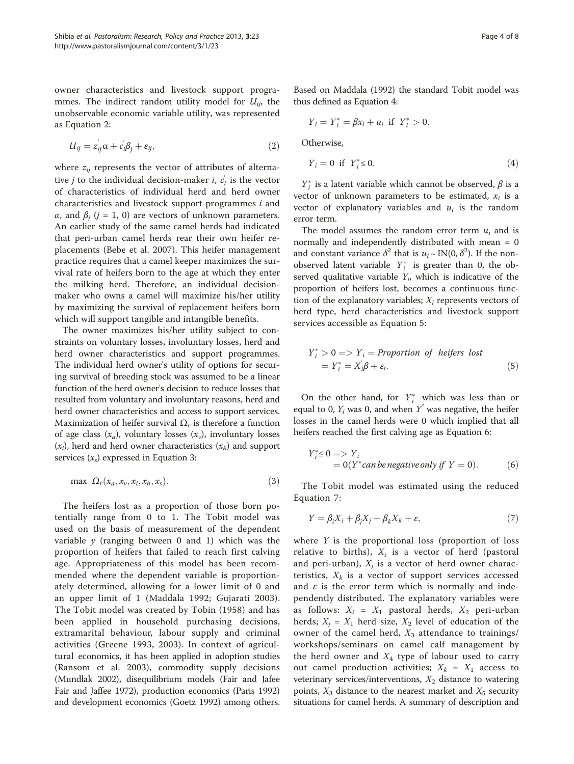owner characteristics and livestock support programmes. The indirect random utility model for  $U_{ij}$ , the unobservable economic variable utility, was represented as Equation 2:

$$
U_{ij} = z_{ij}^{'} \alpha + c_{i}' \beta_j + \varepsilon_{ij}, \qquad (2)
$$

where  $z_{ij}$  represents the vector of attributes of alternative *j* to the individual decision-maker *i*,  $c_i$  is the vector of characteristics of individual herd and herd owner characteristics and livestock support programmes i and α, and  $β<sub>i</sub>$  ( $j = 1, 0$ ) are vectors of unknown parameters. An earlier study of the same camel herds had indicated that peri-urban camel herds rear their own heifer replacements (Bebe et al. [2007\)](#page-6-0). This heifer management practice requires that a camel keeper maximizes the survival rate of heifers born to the age at which they enter the milking herd. Therefore, an individual decisionmaker who owns a camel will maximize his/her utility by maximizing the survival of replacement heifers born which will support tangible and intangible benefits.

The owner maximizes his/her utility subject to constraints on voluntary losses, involuntary losses, herd and herd owner characteristics and support programmes. The individual herd owner's utility of options for securing survival of breeding stock was assumed to be a linear function of the herd owner's decision to reduce losses that resulted from voluntary and involuntary reasons, herd and herd owner characteristics and access to support services. Maximization of heifer survival  $\Omega_r$  is therefore a function of age class  $(x_a)$ , voluntary losses  $(x_v)$ , involuntary losses  $(x_i)$ , herd and herd owner characteristics  $(x_h)$  and support services  $(x<sub>s</sub>)$  expressed in Equation 3:

$$
\max \ \Omega_r(x_a, x_v, x_i, x_h, x_s). \tag{3}
$$

The heifers lost as a proportion of those born potentially range from 0 to 1. The Tobit model was used on the basis of measurement of the dependent variable  $y$  (ranging between 0 and 1) which was the proportion of heifers that failed to reach first calving age. Appropriateness of this model has been recommended where the dependent variable is proportionately determined, allowing for a lower limit of 0 and an upper limit of 1 (Maddala [1992;](#page-7-0) Gujarati [2003](#page-6-0)). The Tobit model was created by Tobin ([1958](#page-7-0)) and has been applied in household purchasing decisions, extramarital behaviour, labour supply and criminal activities (Greene [1993, 2003](#page-6-0)). In context of agricultural economics, it has been applied in adoption studies (Ransom et al. [2003\)](#page-7-0), commodity supply decisions (Mundlak [2002\)](#page-7-0), disequilibrium models (Fair and Jafee Fair and Jaffee [1972\)](#page-6-0), production economics (Paris [1992](#page-7-0)) and development economics (Goetz [1992\)](#page-6-0) among others.

Based on Maddala ([1992\)](#page-7-0) the standard Tobit model was thus defined as Equation 4:

$$
Y_i = Y_i^* = \beta x_i + u_i \text{ if } Y_i^* > 0.
$$

Otherwise,

$$
Y_i = 0 \quad \text{if} \quad Y_i^* \le 0. \tag{4}
$$

 $Y_i^*$  is a latent variable which cannot be observed,  $\beta$  is a vector of unknown parameters to be estimated,  $x_i$  is a vector of explanatory variables and  $u_i$  is the random error term.

The model assumes the random error term  $u_i$  and is normally and independently distributed with mean = 0 and constant variance  $\delta^2$  that is  $u_i \sim \text{IN}(0, \delta^2)$ . If the nonobserved latent variable  $Y_i^*$  is greater than 0, the observed qualitative variable  $Y_i$ , which is indicative of the proportion of heifers lost, becomes a continuous function of the explanatory variables;  $X_i$  represents vectors of herd type, herd characteristics and livestock support services accessible as Equation 5:

$$
Y_i^* > 0 \Longrightarrow Y_i = Proportion \ of \ heifers \ lost
$$
  
= 
$$
Y_i^* = X_i' \beta + \varepsilon_i.
$$
 (5)

On the other hand, for  $Y_i^*$  which was less than or equal to 0,  $Y_i$  was 0, and when  $Y^*$  was negative, the heifer losses in the camel herds were 0 which implied that all heifers reached the first calving age as Equation 6:

$$
Y_i^* \le 0 \Longrightarrow Y_i
$$
  
= 0(Y^\* can be negative only if Y = 0). (6)

The Tobit model was estimated using the reduced Equation 7:

$$
Y = \beta_i X_i + \beta_j X_j + \beta_k X_k + \varepsilon,\tag{7}
$$

where  $Y$  is the proportional loss (proportion of loss relative to births),  $X_i$  is a vector of herd (pastoral and peri-urban),  $X_i$  is a vector of herd owner characteristics,  $X_k$  is a vector of support services accessed and  $\varepsilon$  is the error term which is normally and independently distributed. The explanatory variables were as follows:  $X_i = X_1$  pastoral herds,  $X_2$  peri-urban herds;  $X_j = X_1$  herd size,  $X_2$  level of education of the owner of the camel herd,  $X_3$  attendance to trainings/ workshops/seminars on camel calf management by the herd owner and  $X_4$  type of labour used to carry out camel production activities;  $X_k = X_1$  access to veterinary services/interventions,  $X_2$  distance to watering points,  $X_3$  distance to the nearest market and  $X_5$  security situations for camel herds. A summary of description and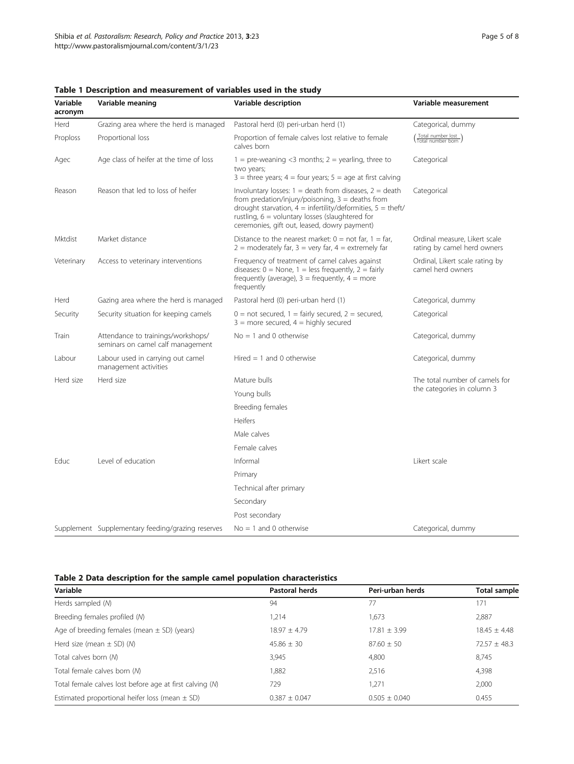| Variable<br>acronym | Variable meaning                                                        | Variable description                                                                                                                                                                                                                                                                     | Variable measurement                                         |  |
|---------------------|-------------------------------------------------------------------------|------------------------------------------------------------------------------------------------------------------------------------------------------------------------------------------------------------------------------------------------------------------------------------------|--------------------------------------------------------------|--|
| Herd                | Grazing area where the herd is managed                                  | Pastoral herd (0) peri-urban herd (1)                                                                                                                                                                                                                                                    | Categorical, dummy                                           |  |
| Proploss            | Proportional loss                                                       | Proportion of female calves lost relative to female<br>calves born                                                                                                                                                                                                                       | (Total number lost)                                          |  |
| Agec                | Age class of heifer at the time of loss                                 | $1 =$ pre-weaning <3 months; $2 =$ yearling, three to<br>two years;<br>$3$ = three years; $4$ = four years; $5$ = age at first calving                                                                                                                                                   | Categorical                                                  |  |
| Reason              | Reason that led to loss of heifer                                       | Involuntary losses: $1 =$ death from diseases, $2 =$ death<br>from predation/injury/poisoning, $3 =$ deaths from<br>drought starvation, $4 =$ infertility/deformities, $5 =$ theft/<br>rustling, $6 =$ voluntary losses (slaughtered for<br>ceremonies, gift out, leased, dowry payment) | Categorical                                                  |  |
| <b>Mktdist</b>      | Market distance                                                         | Distance to the nearest market: $0 = \text{not far}, 1 = \text{far},$<br>$2 =$ moderately far, $3 =$ very far, $4 =$ extremely far                                                                                                                                                       | Ordinal measure. Likert scale<br>rating by camel herd owners |  |
| Veterinary          | Access to veterinary interventions                                      | Frequency of treatment of camel calves against<br>diseases: $0 =$ None, $1 =$ less frequently, $2 =$ fairly<br>frequently (average), $3 =$ frequently, $4 =$ more<br>frequently                                                                                                          | Ordinal, Likert scale rating by<br>camel herd owners         |  |
| Herd                | Gazing area where the herd is managed                                   | Pastoral herd (0) peri-urban herd (1)                                                                                                                                                                                                                                                    | Categorical, dummy                                           |  |
| Security            | Security situation for keeping camels                                   | $0 =$ not secured, $1 =$ fairly secured, $2 =$ secured,<br>$3 =$ more secured, $4 =$ highly secured                                                                                                                                                                                      | Categorical                                                  |  |
| Train               | Attendance to trainings/workshops/<br>seminars on camel calf management | $No = 1$ and 0 otherwise                                                                                                                                                                                                                                                                 | Categorical, dummy                                           |  |
| Labour              | Labour used in carrying out camel<br>management activities              | Hired $= 1$ and 0 otherwise                                                                                                                                                                                                                                                              | Categorical, dummy                                           |  |
| Herd size           | Herd size                                                               | Mature bulls                                                                                                                                                                                                                                                                             | The total number of camels for                               |  |
|                     |                                                                         | Young bulls                                                                                                                                                                                                                                                                              | the categories in column 3                                   |  |
|                     |                                                                         | Breeding females                                                                                                                                                                                                                                                                         |                                                              |  |
|                     |                                                                         | Heifers                                                                                                                                                                                                                                                                                  |                                                              |  |
|                     |                                                                         | Male calves                                                                                                                                                                                                                                                                              |                                                              |  |
|                     |                                                                         | Female calves                                                                                                                                                                                                                                                                            |                                                              |  |
| Educ                | Level of education                                                      | Informal                                                                                                                                                                                                                                                                                 | Likert scale                                                 |  |
|                     |                                                                         | Primary                                                                                                                                                                                                                                                                                  |                                                              |  |
|                     |                                                                         | Technical after primary                                                                                                                                                                                                                                                                  |                                                              |  |
|                     |                                                                         | Secondary                                                                                                                                                                                                                                                                                |                                                              |  |
|                     |                                                                         | Post secondary                                                                                                                                                                                                                                                                           |                                                              |  |
|                     | Supplement Supplementary feeding/grazing reserves                       | $No = 1$ and 0 otherwise                                                                                                                                                                                                                                                                 | Categorical, dummy                                           |  |

<span id="page-4-0"></span>Table 1 Description and measurement of variables used in the study

### Table 2 Data description for the sample camel population characteristics

| Variable                                                 | <b>Pastoral herds</b> | Peri-urban herds | <b>Total sample</b> |
|----------------------------------------------------------|-----------------------|------------------|---------------------|
| Herds sampled (M)                                        | 94                    | 77               | 171                 |
| Breeding females profiled (M)                            | 1,214                 | 1,673            | 2,887               |
| Age of breeding females (mean $\pm$ SD) (years)          | $18.97 + 4.79$        | $17.81 \pm 3.99$ | $18.45 + 4.48$      |
| Herd size (mean $\pm$ SD) (M)                            | $45.86 \pm 30$        | $87.60 + 50$     | $72.57 + 48.3$      |
| Total calves born (M)                                    | 3.945                 | 4.800            | 8.745               |
| Total female calves born (M)                             | 1.882                 | 2.516            | 4,398               |
| Total female calves lost before age at first calving (M) | 729                   | 1.271            | 2,000               |
| Estimated proportional heifer loss (mean $\pm$ SD)       | $0.387 + 0.047$       | $0.505 + 0.040$  | 0.455               |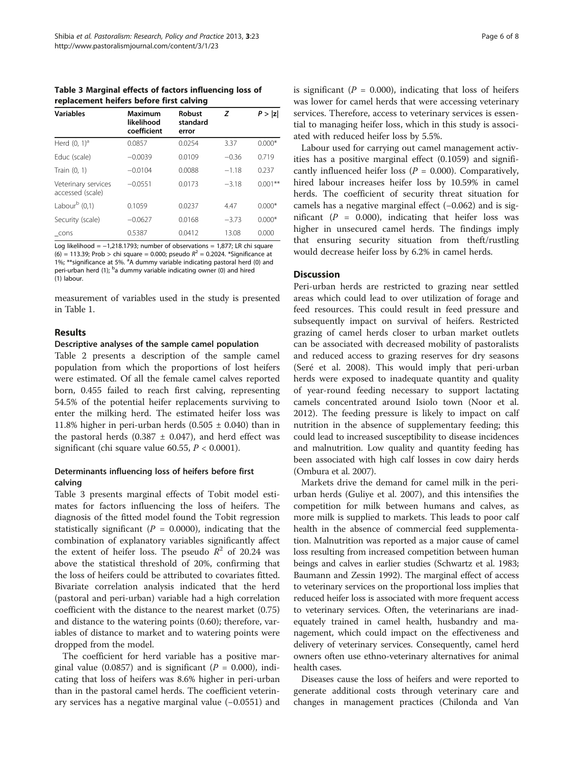Table 3 Marginal effects of factors influencing loss of replacement heifers before first calving

| <b>Variables</b>                        | Maximum<br>likelihood | Robust<br>standard | z       | P >  z     |
|-----------------------------------------|-----------------------|--------------------|---------|------------|
|                                         | coefficient           | error              |         |            |
| Herd $(0, 1)^d$                         | 0.0857                | 0.0254             | 3.37    | $0.000*$   |
| Educ (scale)                            | $-0.0039$             | 0.0109             | $-0.36$ | 0.719      |
| Train (0, 1)                            | $-0.0104$             | 0.0088             | $-1.18$ | 0.237      |
| Veterinary services<br>accessed (scale) | $-0.0551$             | 0.0173             | $-3.18$ | $0.001***$ |
| Labour $\overline{b}$ (0,1)             | 0.1059                | 0.0237             | 4.47    | $0.000*$   |
| Security (scale)                        | $-0.0627$             | 0.0168             | $-3.73$ | $0.000*$   |
| cons                                    | 0.5387                | 0.0412             | 13.08   | 0.000      |

Log likelihood = −1,218.1793; number of observations = 1,877; LR chi square (6) = 113.39; Prob > chi square = 0.000; pseudo  $R^2$  = 0.2024. \*Significance at 1%; \*\*significance at 5%. <sup>a</sup>A dummy variable indicating pastoral herd (0) and peri-urban herd (1); <sup>b</sup>a dummy variable indicating owner (0) and hired (1) labour.

measurement of variables used in the study is presented in Table [1](#page-4-0).

### Results

#### Descriptive analyses of the sample camel population

Table [2](#page-4-0) presents a description of the sample camel population from which the proportions of lost heifers were estimated. Of all the female camel calves reported born, 0.455 failed to reach first calving, representing 54.5% of the potential heifer replacements surviving to enter the milking herd. The estimated heifer loss was 11.8% higher in peri-urban herds  $(0.505 \pm 0.040)$  than in the pastoral herds (0.387  $\pm$  0.047), and herd effect was significant (chi square value 60.55,  $P < 0.0001$ ).

## Determinants influencing loss of heifers before first calving

Table 3 presents marginal effects of Tobit model estimates for factors influencing the loss of heifers. The diagnosis of the fitted model found the Tobit regression statistically significant ( $P = 0.0000$ ), indicating that the combination of explanatory variables significantly affect the extent of heifer loss. The pseudo  $R^2$  of 20.24 was above the statistical threshold of 20%, confirming that the loss of heifers could be attributed to covariates fitted. Bivariate correlation analysis indicated that the herd (pastoral and peri-urban) variable had a high correlation coefficient with the distance to the nearest market (0.75) and distance to the watering points (0.60); therefore, variables of distance to market and to watering points were dropped from the model.

The coefficient for herd variable has a positive marginal value (0.0857) and is significant ( $P = 0.000$ ), indicating that loss of heifers was 8.6% higher in peri-urban than in the pastoral camel herds. The coefficient veterinary services has a negative marginal value (−0.0551) and is significant ( $P = 0.000$ ), indicating that loss of heifers was lower for camel herds that were accessing veterinary services. Therefore, access to veterinary services is essential to managing heifer loss, which in this study is associated with reduced heifer loss by 5.5%.

Labour used for carrying out camel management activities has a positive marginal effect (0.1059) and significantly influenced heifer loss ( $P = 0.000$ ). Comparatively, hired labour increases heifer loss by 10.59% in camel herds. The coefficient of security threat situation for camels has a negative marginal effect (−0.062) and is significant ( $P = 0.000$ ), indicating that heifer loss was higher in unsecured camel herds. The findings imply that ensuring security situation from theft/rustling would decrease heifer loss by 6.2% in camel herds.

### **Discussion**

Peri-urban herds are restricted to grazing near settled areas which could lead to over utilization of forage and feed resources. This could result in feed pressure and subsequently impact on survival of heifers. Restricted grazing of camel herds closer to urban market outlets can be associated with decreased mobility of pastoralists and reduced access to grazing reserves for dry seasons (Seré et al. [2008\)](#page-7-0). This would imply that peri-urban herds were exposed to inadequate quantity and quality of year-round feeding necessary to support lactating camels concentrated around Isiolo town (Noor et al. [2012](#page-7-0)). The feeding pressure is likely to impact on calf nutrition in the absence of supplementary feeding; this could lead to increased susceptibility to disease incidences and malnutrition. Low quality and quantity feeding has been associated with high calf losses in cow dairy herds (Ombura et al. [2007](#page-7-0)).

Markets drive the demand for camel milk in the periurban herds (Guliye et al. [2007](#page-6-0)), and this intensifies the competition for milk between humans and calves, as more milk is supplied to markets. This leads to poor calf health in the absence of commercial feed supplementation. Malnutrition was reported as a major cause of camel loss resulting from increased competition between human beings and calves in earlier studies (Schwartz et al. [1983](#page-7-0); Baumann and Zessin [1992](#page-6-0)). The marginal effect of access to veterinary services on the proportional loss implies that reduced heifer loss is associated with more frequent access to veterinary services. Often, the veterinarians are inadequately trained in camel health, husbandry and management, which could impact on the effectiveness and delivery of veterinary services. Consequently, camel herd owners often use ethno-veterinary alternatives for animal health cases.

Diseases cause the loss of heifers and were reported to generate additional costs through veterinary care and changes in management practices (Chilonda and Van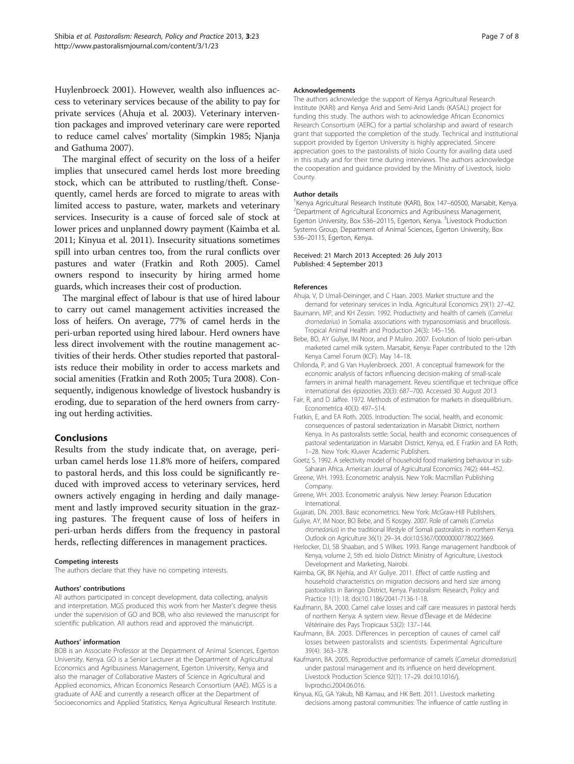<span id="page-6-0"></span>Huylenbroeck 2001). However, wealth also influences access to veterinary services because of the ability to pay for private services (Ahuja et al. 2003). Veterinary intervention packages and improved veterinary care were reported to reduce camel calves' mortality (Simpkin [1985](#page-7-0); Njanja and Gathuma [2007](#page-7-0)).

The marginal effect of security on the loss of a heifer implies that unsecured camel herds lost more breeding stock, which can be attributed to rustling/theft. Consequently, camel herds are forced to migrate to areas with limited access to pasture, water, markets and veterinary services. Insecurity is a cause of forced sale of stock at lower prices and unplanned dowry payment (Kaimba et al. 2011; Kinyua et al. 2011). Insecurity situations sometimes spill into urban centres too, from the rural conflicts over pastures and water (Fratkin and Roth 2005). Camel owners respond to insecurity by hiring armed home guards, which increases their cost of production.

The marginal effect of labour is that use of hired labour to carry out camel management activities increased the loss of heifers. On average, 77% of camel herds in the peri-urban reported using hired labour. Herd owners have less direct involvement with the routine management activities of their herds. Other studies reported that pastoralists reduce their mobility in order to access markets and social amenities (Fratkin and Roth 2005; Tura [2008](#page-7-0)). Consequently, indigenous knowledge of livestock husbandry is eroding, due to separation of the herd owners from carrying out herding activities.

## Conclusions

Results from the study indicate that, on average, periurban camel herds lose 11.8% more of heifers, compared to pastoral herds, and this loss could be significantly reduced with improved access to veterinary services, herd owners actively engaging in herding and daily management and lastly improved security situation in the grazing pastures. The frequent cause of loss of heifers in peri-urban herds differs from the frequency in pastoral herds, reflecting differences in management practices.

#### Competing interests

The authors declare that they have no competing interests.

#### Authors' contributions

All authors participated in concept development, data collecting, analysis and interpretation. MGS produced this work from her Master's degree thesis under the supervision of GO and BOB, who also reviewed the manuscript for scientific publication. All authors read and approved the manuscript.

#### Authors' information

BOB is an Associate Professor at the Department of Animal Sciences, Egerton University, Kenya. GO is a Senior Lecturer at the Department of Agricultural Economics and Agribusiness Management, Egerton University, Kenya and also the manager of Collaborative Masters of Science in Agricultural and Applied economics, African Economics Research Consortium (AAE). MGS is a graduate of AAE and currently a research officer at the Department of Socioeconomics and Applied Statistics, Kenya Agricultural Research Institute.

#### Acknowledgements

The authors acknowledge the support of Kenya Agricultural Research Institute (KARI) and Kenya Arid and Semi-Arid Lands (KASAL) project for funding this study. The authors wish to acknowledge African Economics Research Consortium (AERC) for a partial scholarship and award of research grant that supported the completion of the study. Technical and institutional support provided by Egerton University is highly appreciated. Sincere appreciation goes to the pastoralists of Isiolo County for availing data used in this study and for their time during interviews. The authors acknowledge the cooperation and guidance provided by the Ministry of Livestock, Isiolo County.

#### Author details

<sup>1</sup> Kenya Agricultural Research Institute (KARI), Box 147–60500, Marsabit, Kenya.<br><sup>2</sup> Denartment of Agricultural Economics and Agribusiness Management. <sup>2</sup>Department of Agricultural Economics and Agribusiness Management, Egerton University, Box 536-20115, Egerton, Kenya. <sup>3</sup>Livestock Production Systems Group, Department of Animal Sciences, Egerton University, Box 536–20115, Egerton, Kenya.

#### Received: 21 March 2013 Accepted: 26 July 2013 Published: 4 September 2013

#### References

- Ahuja, V, D Umali-Deininger, and C Haan. 2003. Market structure and the demand for veterinary services in India. Agricultural Economics 29(1): 27–42.
- Baumann, MP, and KH Zessin. 1992. Productivity and health of camels (Camelus dromedarius) in Somalia: associations with trypanosomiasis and brucellosis. Tropical Animal Health and Production 24(3): 145–156.
- Bebe, BO, AY Guliye, IM Noor, and P Muliro. 2007. Evolution of Isiolo peri-urban marketed camel milk system. Marsabit, Kenya: Paper contributed to the 12th Kenya Camel Forum (KCF). May 14–18.
- Chilonda, P, and G Van Huylenbroeck. 2001. A conceptual framework for the economic analysis of factors influencing decision-making of small-scale farmers in animal health management. Reveu scientifique et technique office international des épizooties 20(3): 687–700. Accessed 30 August 2013
- Fair, R, and D Jaffee. 1972. Methods of estimation for markets in disequilibrium. Econometrica 40(3): 497–514.
- Fratkin, E, and EA Roth. 2005. Introduction: The social, health, and economic consequences of pastoral sedentarization in Marsabit District, northern Kenya. In As pastoralists settle: Social, health and economic consequences of pastoral sedentarization in Marsabit District, Kenya, ed. E Fratkin and EA Roth, 1–28. New York: Kluwer Academic Publishers.
- Goetz, S. 1992. A selectivity model of household food marketing behaviour in sub-Saharan Africa. American Journal of Agricultural Economics 74(2): 444–452.
- Greene, WH. 1993. Econometric analysis. New Yolk: Macmillan Publishing Company.
- Greene, WH. 2003. Econometric analysis. New Jersey: Pearson Education International.
- Gujarati, DN. 2003. Basic econometrics. New York: McGraw-Hill Publishers.
- Guliye, AY, IM Noor, BO Bebe, and IS Kosgey. 2007. Role of camels (Camelus dromedarius) in the traditional lifestyle of Somali pastoralists in northern Kenya. Outlook on Agriculture 36(1): 29–34. doi[:10.5367/000000007780223669.](http://dx.doi.org/10.5367/000000007780223669)
- Herlocker, DJ, SB Shaaban, and S Wilkes. 1993. Range management handbook of Kenya, volume 2, 5th ed. Isiolo District: Ministry of Agriculture, Livestock Development and Marketing, Nairobi.
- Kaimba, GK, BK Njehia, and AY Guliye. 2011. Effect of cattle rustling and household characteristics on migration decisions and herd size among pastoralists in Baringo District, Kenya. Pastoralism: Research, Policy and Practice 1(1): 18. doi[:10.1186/2041-7136-1-18](http://dx.doi.org/10.1186/2041-7136-1-18).
- Kaufmann, BA. 2000. Camel calve losses and calf care measures in pastoral herds of northern Kenya: A system view. Revue d'Élevage et de Médecine Vétérinaire des Pays Tropicaux 53(2): 137–144.
- Kaufmann, BA. 2003. Differences in perception of causes of camel calf losses between pastoralists and scientists. Experimental Agriculture 39(4): 363–378.
- Kaufmann, BA. 2005. Reproductive performance of camels (Camelus dromedarius) under pastoral management and its influence on herd development. Livestock Production Science 92(1): 17–29. doi[:10.1016/j.](http://dx.doi.org/10.1016/j.livprodsci.2004.06.016) [livprodsci.2004.06.016.](http://dx.doi.org/10.1016/j.livprodsci.2004.06.016)
- Kinyua, KG, GA Yakub, NB Kamau, and HK Bett. 2011. Livestock marketing decisions among pastoral communities: The influence of cattle rustling in